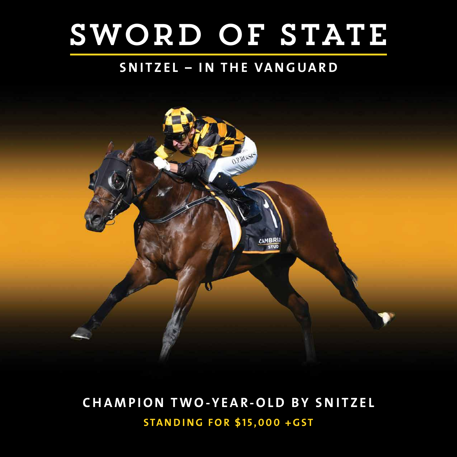# SWORD OF STATE

### **SNITZEL – IN THE VANGUARD**



## **CHAMPION TWO-YEAR-OLD BY SNITZEL STANDING FOR \$15,000 +GST**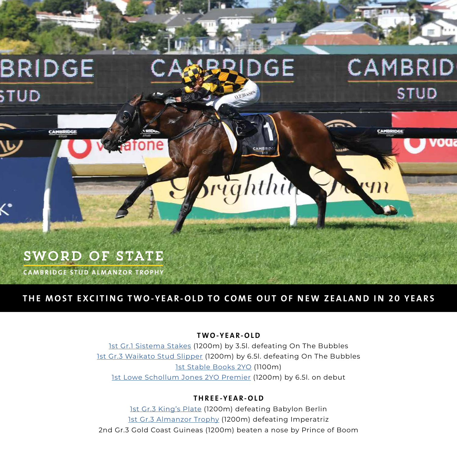

#### **THE MOST EXCITING TWO-YEAR-OLD TO COME OUT OF NEW ZEALAND IN 20 YEARS**

#### **TWO-YEAR-OLD**

[1st Gr.1 Sistema Stakes](https://vimeo.com/690773650) (1200m) by 3.5l. defeating On The Bubbles [1st Gr.3 Waikato Stud Slipper](https://vimeo.com/690785071) (1200m) by 6.5l. defeating On The Bubbles [1st Stable Books 2YO](https://vimeo.com/690780581) (1100m) [1st Lowe Schollum Jones 2YO Premier](https://vimeo.com/713898737) (1200m) by 6.5l. on debut

#### **THREE-YEAR-OLD**

[1st Gr.3 King's Plate](https://vimeo.com/690777495) (1200m) defeating Babylon Berlin [1st Gr.3 Almanzor Trophy](https://vimeo.com/690763614) (1200m) defeating Imperatriz 2nd Gr.3 Gold Coast Guineas (1200m) beaten a nose by Prince of Boom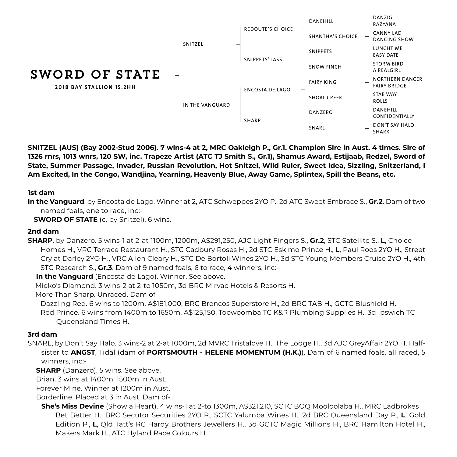

**SNITZEL (AUS) (Bay 2002-Stud 2006). 7 wins-4 at 2, MRC Oakleigh P., Gr.1. Champion Sire in Aust. 4 times. Sire of 1326 rnrs, 1013 wnrs, 120 SW, inc. Trapeze Artist (ATC TJ Smith S., Gr.1), Shamus Award, Estijaab, Redzel, Sword of State, Summer Passage, Invader, Russian Revolution, Hot Snitzel, Wild Ruler, Sweet Idea, Sizzling, Snitzerland, I Am Excited, In the Congo, Wandjina, Yearning, Heavenly Blue, Away Game, Splintex, Spill the Beans, etc.**

#### **1st dam**

**In the Vanguard**, by Encosta de Lago. Winner at 2, ATC Schweppes 2YO P., 2d ATC Sweet Embrace S., **Gr.2**. Dam of two named foals, one to race, inc:-

**SWORD OF STATE** (c. by Snitzel). 6 wins.

#### **2nd dam**

**SHARP**, by Danzero. 5 wins-1 at 2-at 1100m, 1200m, A\$291,250, AJC Light Fingers S., **Gr.2**, STC Satellite S., **L**, Choice Homes H., VRC Terrace Restaurant H., STC Cadbury Roses H., 2d STC Eskimo Prince H., **L**, Paul Roos 2YO H., Street Cry at Darley 2YO H., VRC Allen Cleary H., STC De Bortoli Wines 2YO H., 3d STC Young Members Cruise 2YO H., 4th STC Research S., **Gr.3**. Dam of 9 named foals, 6 to race, 4 winners, inc:-

**In the Vanguard** (Encosta de Lago). Winner. See above.

Mieko's Diamond. 3 wins-2 at 2-to 1050m, 3d BRC Mirvac Hotels & Resorts H.

More Than Sharp. Unraced. Dam of-

Dazzling Red. 6 wins to 1200m, A\$181,000, BRC Broncos Superstore H., 2d BRC TAB H., GCTC Blushield H. Red Prince. 6 wins from 1400m to 1650m, A\$125,150, Toowoomba TC K&R Plumbing Supplies H., 3d Ipswich TC Queensland Times H.

#### **3rd dam**

SNARL, by Don't Say Halo. 3 wins-2 at 2-at 1000m, 2d MVRC Tristalove H., The Lodge H., 3d AJC GreyAffair 2YO H. Halfsister to **ANGST**, Tidal (dam of **PORTSMOUTH - HELENE MOMENTUM (H.K.)**). Dam of 6 named foals, all raced, 5 winners, inc:-

**SHARP** (Danzero). 5 wins. See above.

Brian. 3 wins at 1400m, 1500m in Aust.

Forever Mine. Winner at 1200m in Aust.

Borderline. Placed at 3 in Aust. Dam of-

**She's Miss Devine** (Show a Heart). 4 wins-1 at 2-to 1300m, A\$321,210, SCTC BOQ Mooloolaba H., MRC Ladbrokes Bet Better H., BRC Secutor Securities 2YO P., SCTC Yalumba Wines H., 2d BRC Queensland Day P., **L**, Gold Edition P., **L**, Qld Tatt's RC Hardy Brothers Jewellers H., 3d GCTC Magic Millions H., BRC Hamilton Hotel H., Makers Mark H., ATC Hyland Race Colours H.